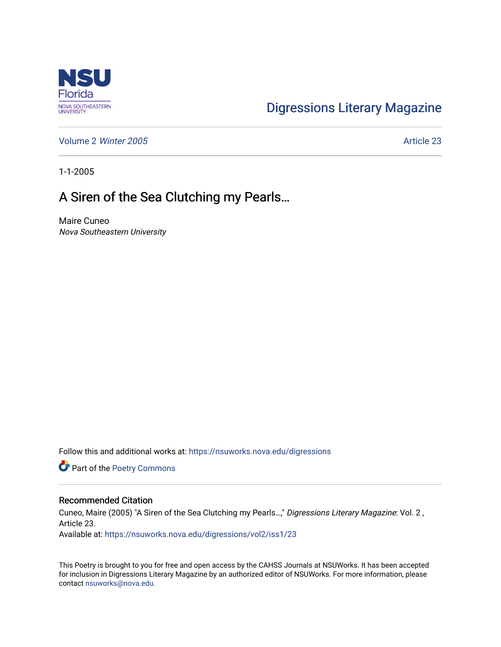

## [Digressions Literary Magazine](https://nsuworks.nova.edu/digressions)

[Volume 2](https://nsuworks.nova.edu/digressions/vol2) Winter 2005 **Article 23** 

1-1-2005

## A Siren of the Sea Clutching my Pearls…

Maire Cuneo Nova Southeastern University

Follow this and additional works at: [https://nsuworks.nova.edu/digressions](https://nsuworks.nova.edu/digressions?utm_source=nsuworks.nova.edu%2Fdigressions%2Fvol2%2Fiss1%2F23&utm_medium=PDF&utm_campaign=PDFCoverPages) 

Part of the [Poetry Commons](http://network.bepress.com/hgg/discipline/1153?utm_source=nsuworks.nova.edu%2Fdigressions%2Fvol2%2Fiss1%2F23&utm_medium=PDF&utm_campaign=PDFCoverPages) 

## Recommended Citation

Cuneo, Maire (2005) "A Siren of the Sea Clutching my Pearls…," Digressions Literary Magazine: Vol. 2 , Article 23.

Available at: [https://nsuworks.nova.edu/digressions/vol2/iss1/23](https://nsuworks.nova.edu/digressions/vol2/iss1/23?utm_source=nsuworks.nova.edu%2Fdigressions%2Fvol2%2Fiss1%2F23&utm_medium=PDF&utm_campaign=PDFCoverPages) 

This Poetry is brought to you for free and open access by the CAHSS Journals at NSUWorks. It has been accepted for inclusion in Digressions Literary Magazine by an authorized editor of NSUWorks. For more information, please contact [nsuworks@nova.edu.](mailto:nsuworks@nova.edu)